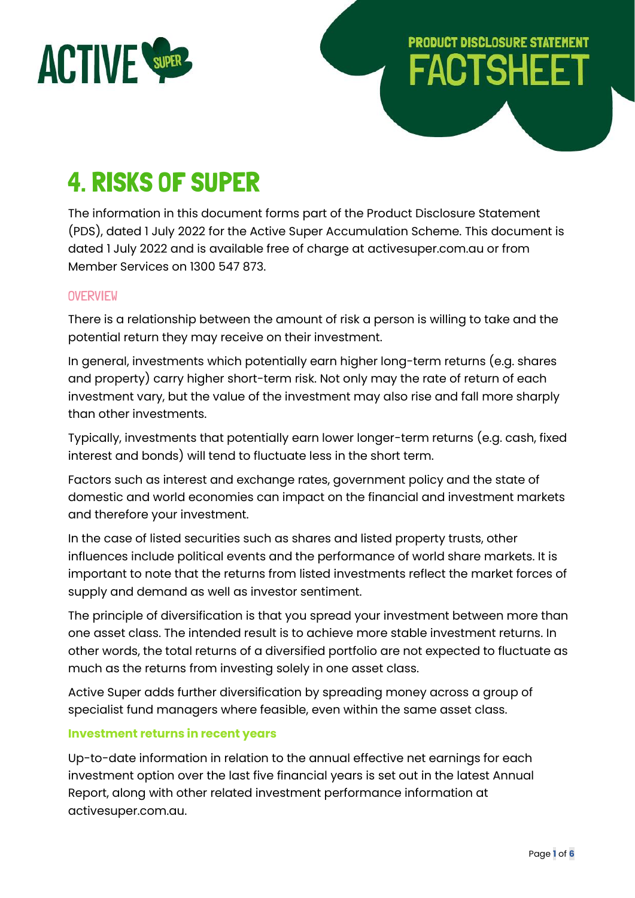

# **PRODUCT DISCLOSURE STATEMENT FACTSHEET**

# 4. RISKS OF SUPER

The information in this document forms part of the Product Disclosure Statement (PDS), dated 1 July 2022 for the Active Super Accumulation Scheme. This document is dated 1 July 2022 and is available free of charge at activesuper.com.au or from Member Services on 1300 547 873.

# **OVERVIEW**

There is a relationship between the amount of risk a person is willing to take and the potential return they may receive on their investment.

In general, investments which potentially earn higher long-term returns (e.g. shares and property) carry higher short-term risk. Not only may the rate of return of each investment vary, but the value of the investment may also rise and fall more sharply than other investments.

Typically, investments that potentially earn lower longer-term returns (e.g. cash, fixed interest and bonds) will tend to fluctuate less in the short term.

Factors such as interest and exchange rates, government policy and the state of domestic and world economies can impact on the financial and investment markets and therefore your investment.

In the case of listed securities such as shares and listed property trusts, other influences include political events and the performance of world share markets. It is important to note that the returns from listed investments reflect the market forces of supply and demand as well as investor sentiment.

The principle of diversification is that you spread your investment between more than one asset class. The intended result is to achieve more stable investment returns. In other words, the total returns of a diversified portfolio are not expected to fluctuate as much as the returns from investing solely in one asset class.

Active Super adds further diversification by spreading money across a group of specialist fund managers where feasible, even within the same asset class.

# **Investment returns in recent years**

Up-to-date information in relation to the annual effective net earnings for each investment option over the last five financial years is set out in the latest Annual Report, along with other related investment performance information at activesuper.com.au.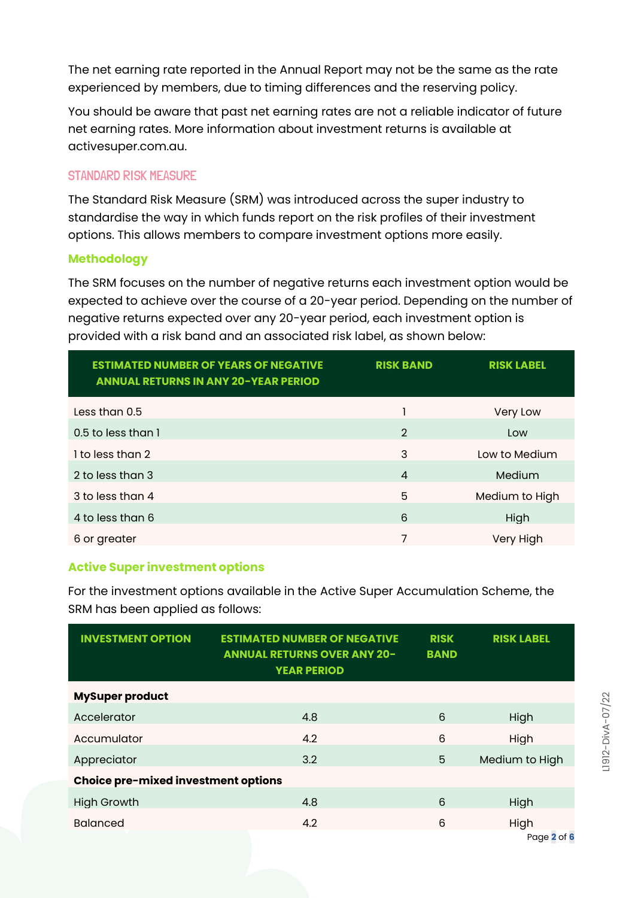The net earning rate reported in the Annual Report may not be the same as the rate experienced by members, due to timing differences and the reserving policy.

You should be aware that past net earning rates are not a reliable indicator of future net earning rates. More information about investment returns is available at activesuper.com.au.

# STANDARD RISK MEASURE

The Standard Risk Measure (SRM) was introduced across the super industry to standardise the way in which funds report on the risk profiles of their investment options. This allows members to compare investment options more easily.

# **Methodology**

The SRM focuses on the number of negative returns each investment option would be expected to achieve over the course of a 20-year period. Depending on the number of negative returns expected over any 20-year period, each investment option is provided with a risk band and an associated risk label, as shown below:

| <b>ESTIMATED NUMBER OF YEARS OF NEGATIVE</b><br><b>ANNUAL RETURNS IN ANY 20-YEAR PERIOD</b> | <b>RISK BAND</b> | <b>RISK LABEL</b> |
|---------------------------------------------------------------------------------------------|------------------|-------------------|
| Less than 0.5                                                                               |                  | Very Low          |
| 0.5 to less than 1                                                                          | $\overline{2}$   | Low               |
| 1 to less than 2                                                                            | 3                | Low to Medium     |
| 2 to less than 3                                                                            | $\overline{4}$   | Medium            |
| 3 to less than 4                                                                            | 5                | Medium to High    |
| 4 to less than 6                                                                            | 6                | High              |
| 6 or greater                                                                                | 7                | Very High         |

# **Active Super investment options**

For the investment options available in the Active Super Accumulation Scheme, the SRM has been applied as follows:

| <b>INVESTMENT OPTION</b>                   | <b>ESTIMATED NUMBER OF NEGATIVE</b><br><b>ANNUAL RETURNS OVER ANY 20-</b><br><b>YEAR PERIOD</b> | <b>RISK</b><br><b>BAND</b> | <b>RISK LABEL</b> |
|--------------------------------------------|-------------------------------------------------------------------------------------------------|----------------------------|-------------------|
| <b>MySuper product</b>                     |                                                                                                 |                            |                   |
| Accelerator                                | 4.8                                                                                             | 6                          | High              |
| Accumulator                                | 4.2                                                                                             | 6                          | High              |
| Appreciator                                | 3.2                                                                                             | 5                          | Medium to High    |
| <b>Choice pre-mixed investment options</b> |                                                                                                 |                            |                   |
| <b>High Growth</b>                         | 4.8                                                                                             | 6                          | High              |
| <b>Balanced</b>                            | 4.2                                                                                             | 6                          | High              |
|                                            |                                                                                                 |                            | Page 2 of 6       |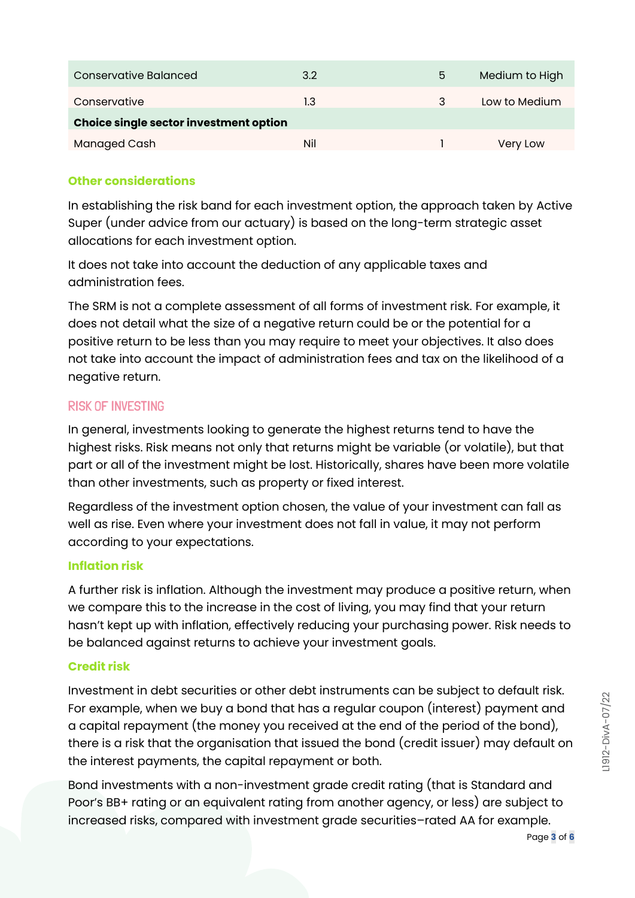| Conservative Balanced                  | 3.2 | 5 | Medium to High |
|----------------------------------------|-----|---|----------------|
| Conservative                           | 1.3 |   | Low to Medium  |
| Choice single sector investment option |     |   |                |
| <b>Managed Cash</b>                    | Nil |   | Verv Low       |

# **Other considerations**

In establishing the risk band for each investment option, the approach taken by Active Super (under advice from our actuary) is based on the long-term strategic asset allocations for each investment option.

It does not take into account the deduction of any applicable taxes and administration fees.

The SRM is not a complete assessment of all forms of investment risk. For example, it does not detail what the size of a negative return could be or the potential for a positive return to be less than you may require to meet your objectives. It also does not take into account the impact of administration fees and tax on the likelihood of a negative return.

# RISK OF INVESTING

In general, investments looking to generate the highest returns tend to have the highest risks. Risk means not only that returns might be variable (or volatile), but that part or all of the investment might be lost. Historically, shares have been more volatile than other investments, such as property or fixed interest.

Regardless of the investment option chosen, the value of your investment can fall as well as rise. Even where your investment does not fall in value, it may not perform according to your expectations.

## **Inflation risk**

A further risk is inflation. Although the investment may produce a positive return, when we compare this to the increase in the cost of living, you may find that your return hasn't kept up with inflation, effectively reducing your purchasing power. Risk needs to be balanced against returns to achieve your investment goals.

## **Credit risk**

Investment in debt securities or other debt instruments can be subject to default risk. For example, when we buy a bond that has a regular coupon (interest) payment and a capital repayment (the money you received at the end of the period of the bond), there is a risk that the organisation that issued the bond (credit issuer) may default on the interest payments, the capital repayment or both.

Bond investments with a non-investment grade credit rating (that is Standard and Poor's BB+ rating or an equivalent rating from another agency, or less) are subject to increased risks, compared with investment grade securities–rated AA for example.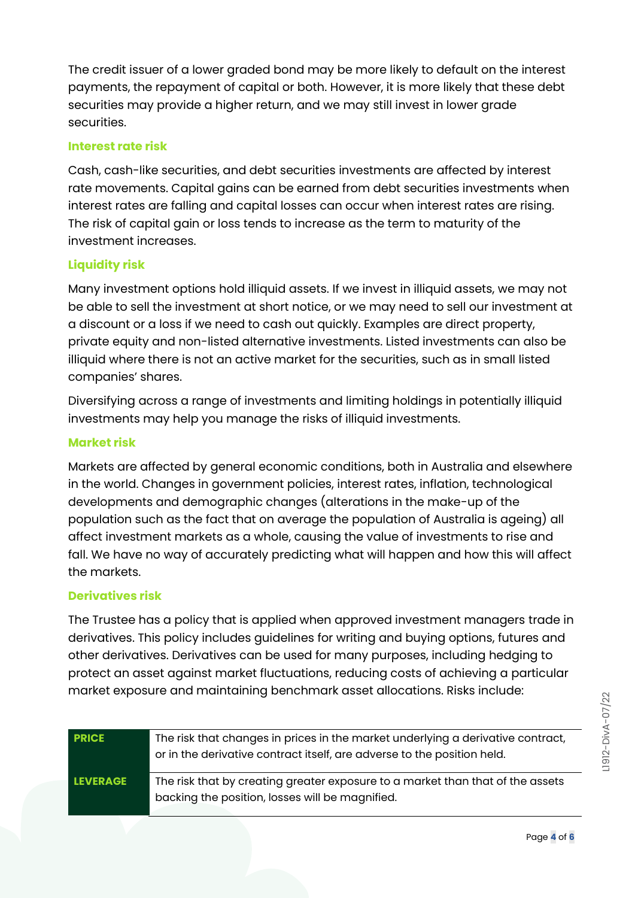The credit issuer of a lower graded bond may be more likely to default on the interest payments, the repayment of capital or both. However, it is more likely that these debt securities may provide a higher return, and we may still invest in lower grade securities.

#### **Interest rate risk**

Cash, cash-like securities, and debt securities investments are affected by interest rate movements. Capital gains can be earned from debt securities investments when interest rates are falling and capital losses can occur when interest rates are rising. The risk of capital gain or loss tends to increase as the term to maturity of the investment increases.

# **Liquidity risk**

Many investment options hold illiquid assets. If we invest in illiquid assets, we may not be able to sell the investment at short notice, or we may need to sell our investment at a discount or a loss if we need to cash out quickly. Examples are direct property, private equity and non-listed alternative investments. Listed investments can also be illiquid where there is not an active market for the securities, such as in small listed companies' shares.

Diversifying across a range of investments and limiting holdings in potentially illiquid investments may help you manage the risks of illiquid investments.

## **Market risk**

Markets are affected by general economic conditions, both in Australia and elsewhere in the world. Changes in government policies, interest rates, inflation, technological developments and demographic changes (alterations in the make-up of the population such as the fact that on average the population of Australia is ageing) all affect investment markets as a whole, causing the value of investments to rise and fall. We have no way of accurately predicting what will happen and how this will affect the markets.

## **Derivatives risk**

The Trustee has a policy that is applied when approved investment managers trade in derivatives. This policy includes guidelines for writing and buying options, futures and other derivatives. Derivatives can be used for many purposes, including hedging to protect an asset against market fluctuations, reducing costs of achieving a particular market exposure and maintaining benchmark asset allocations. Risks include:

| <b>PRICE</b>    | The risk that changes in prices in the market underlying a derivative contract,<br>or in the derivative contract itself, are adverse to the position held. |
|-----------------|------------------------------------------------------------------------------------------------------------------------------------------------------------|
| <b>LEVERAGE</b> | The risk that by creating greater exposure to a market than that of the assets<br>backing the position, losses will be magnified.                          |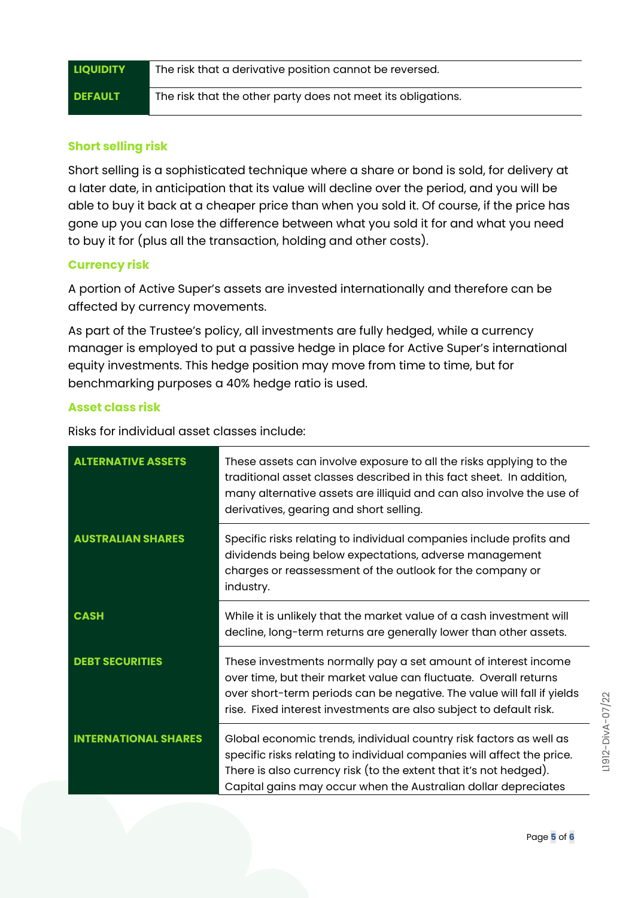| <b>LIQUIDITY</b> | The risk that a derivative position cannot be reversed.      |
|------------------|--------------------------------------------------------------|
| <b>DEFAULT</b>   | The risk that the other party does not meet its obligations. |

## **Short selling risk**

Short selling is a sophisticated technique where a share or bond is sold, for delivery at a later date, in anticipation that its value will decline over the period, and you will be able to buy it back at a cheaper price than when you sold it. Of course, if the price has gone up you can lose the difference between what you sold it for and what you need to buy it for (plus all the transaction, holding and other costs).

#### **Currency risk**

A portion of Active Super's assets are invested internationally and therefore can be affected by currency movements.

As part of the Trustee's policy, all investments are fully hedged, while a currency manager is employed to put a passive hedge in place for Active Super's international equity investments. This hedge position may move from time to time, but for benchmarking purposes a 40% hedge ratio is used.

#### **Asset class risk**

Risks for individual asset classes include:

| <b>ALTERNATIVE ASSETS</b>   | These assets can involve exposure to all the risks applying to the<br>traditional asset classes described in this fact sheet. In addition,<br>many alternative assets are illiquid and can also involve the use of<br>derivatives, gearing and short selling.                       |
|-----------------------------|-------------------------------------------------------------------------------------------------------------------------------------------------------------------------------------------------------------------------------------------------------------------------------------|
| <b>AUSTRALIAN SHARES</b>    | Specific risks relating to individual companies include profits and<br>dividends being below expectations, adverse management<br>charges or reassessment of the outlook for the company or<br>industry.                                                                             |
| <b>CASH</b>                 | While it is unlikely that the market value of a cash investment will<br>decline, long-term returns are generally lower than other assets.                                                                                                                                           |
| <b>DEBT SECURITIES</b>      | These investments normally pay a set amount of interest income<br>over time, but their market value can fluctuate. Overall returns<br>over short-term periods can be negative. The value will fall if yields<br>rise. Fixed interest investments are also subject to default risk.  |
| <b>INTERNATIONAL SHARES</b> | Global economic trends, individual country risk factors as well as<br>specific risks relating to individual companies will affect the price.<br>There is also currency risk (to the extent that it's not hedged).<br>Capital gains may occur when the Australian dollar depreciates |